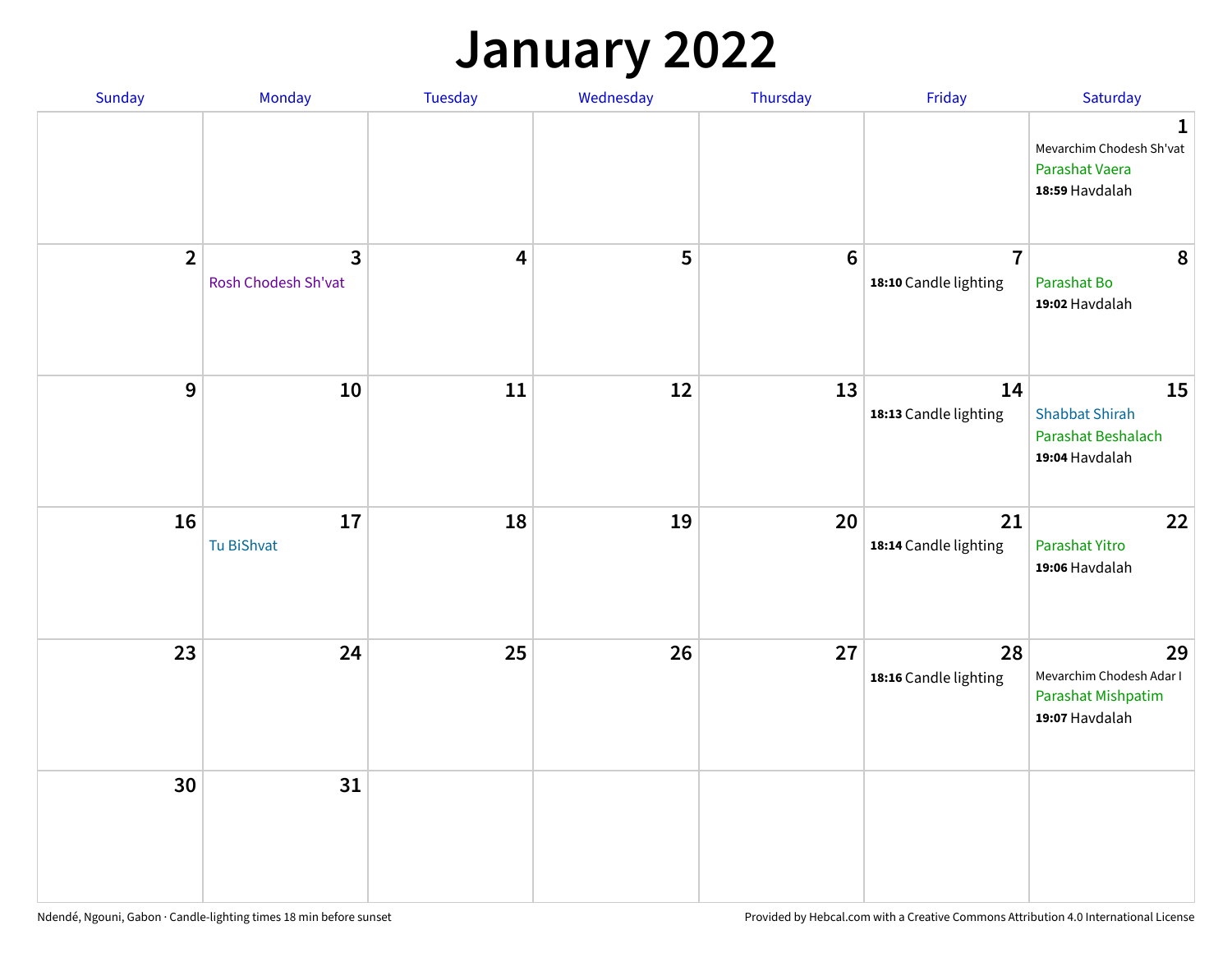## **January 2022**

| Sunday         | Monday                   | Tuesday                 | Wednesday | Thursday         | Friday                                  | Saturday                                                                     |
|----------------|--------------------------|-------------------------|-----------|------------------|-----------------------------------------|------------------------------------------------------------------------------|
|                |                          |                         |           |                  |                                         | $\mathbf{1}$<br>Mevarchim Chodesh Sh'vat<br>Parashat Vaera<br>18:59 Havdalah |
| $\overline{2}$ | 3<br>Rosh Chodesh Sh'vat | $\overline{\mathbf{4}}$ | 5         | $\boldsymbol{6}$ | $\overline{7}$<br>18:10 Candle lighting | 8<br>Parashat Bo<br>19:02 Havdalah                                           |
| $\mathbf 9$    | 10                       | ${\bf 11}$              | 12        | 13               | 14<br>18:13 Candle lighting             | 15<br><b>Shabbat Shirah</b><br>Parashat Beshalach<br>19:04 Havdalah          |
| 16             | 17<br>Tu BiShvat         | 18                      | 19        | 20               | 21<br>18:14 Candle lighting             | 22<br>Parashat Yitro<br>19:06 Havdalah                                       |
| 23             | 24                       | 25                      | 26        | 27               | 28<br>18:16 Candle lighting             | 29<br>Mevarchim Chodesh Adar I<br>Parashat Mishpatim<br>19:07 Havdalah       |
| 30             | 31                       |                         |           |                  |                                         |                                                                              |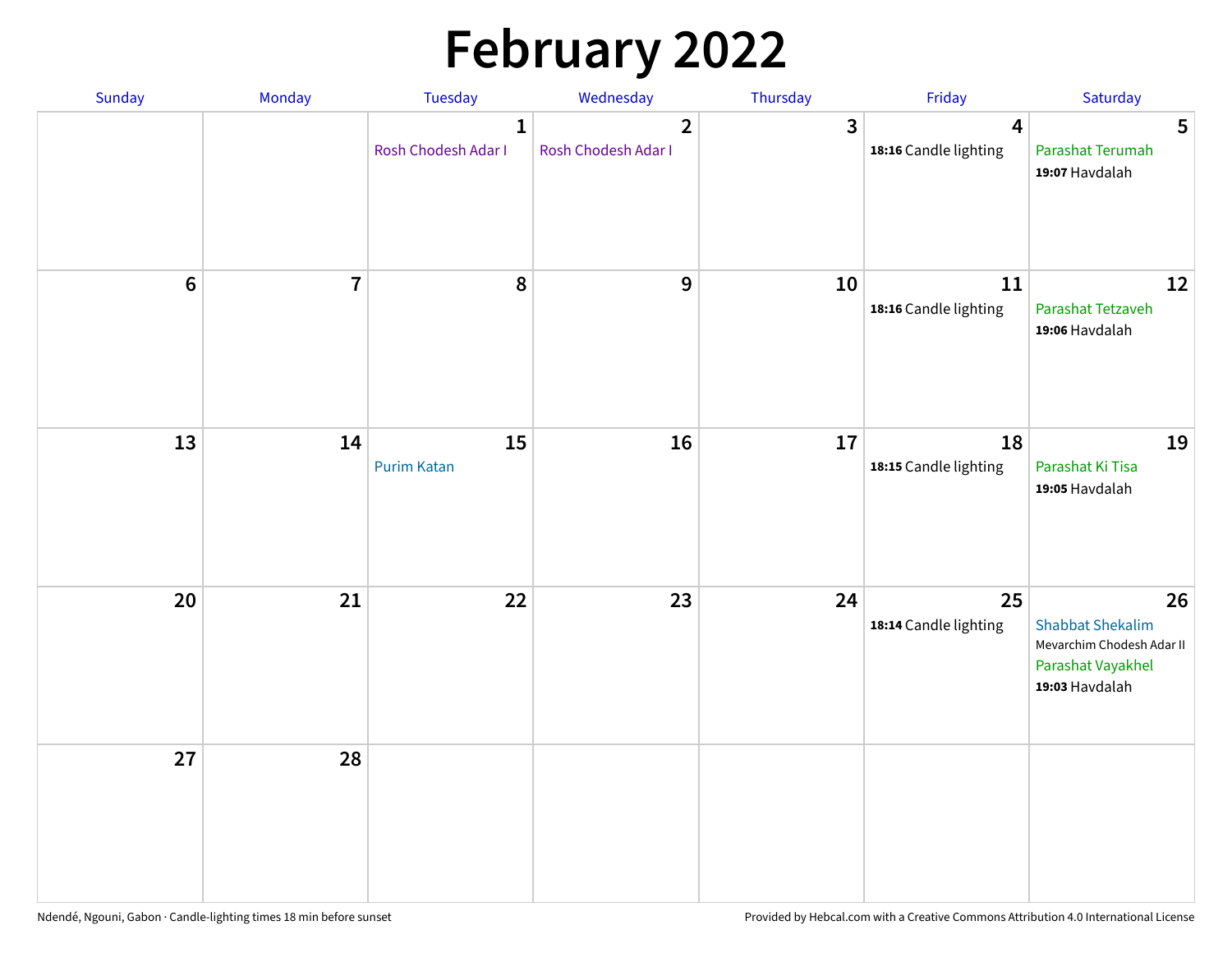# **February 2022**

| Sunday           | Monday         | Tuesday                             | Wednesday                             | Thursday | Friday                                  | Saturday                                                                                          |
|------------------|----------------|-------------------------------------|---------------------------------------|----------|-----------------------------------------|---------------------------------------------------------------------------------------------------|
|                  |                | $\mathbf{1}$<br>Rosh Chodesh Adar I | $\overline{2}$<br>Rosh Chodesh Adar I | 3        | $\overline{4}$<br>18:16 Candle lighting | $5\phantom{.0}$<br>Parashat Terumah<br>19:07 Havdalah                                             |
| $\boldsymbol{6}$ | $\overline{7}$ | 8                                   | $\boldsymbol{9}$                      | 10       | 11<br>18:16 Candle lighting             | 12<br>Parashat Tetzaveh<br>19:06 Havdalah                                                         |
| 13               | 14             | 15<br><b>Purim Katan</b>            | 16                                    | 17       | 18<br>18:15 Candle lighting             | 19<br>Parashat Ki Tisa<br>19:05 Havdalah                                                          |
| 20               | 21             | 22                                  | 23                                    | 24       | 25<br>18:14 Candle lighting             | 26<br><b>Shabbat Shekalim</b><br>Mevarchim Chodesh Adar II<br>Parashat Vayakhel<br>19:03 Havdalah |
| 27               | 28             |                                     |                                       |          |                                         |                                                                                                   |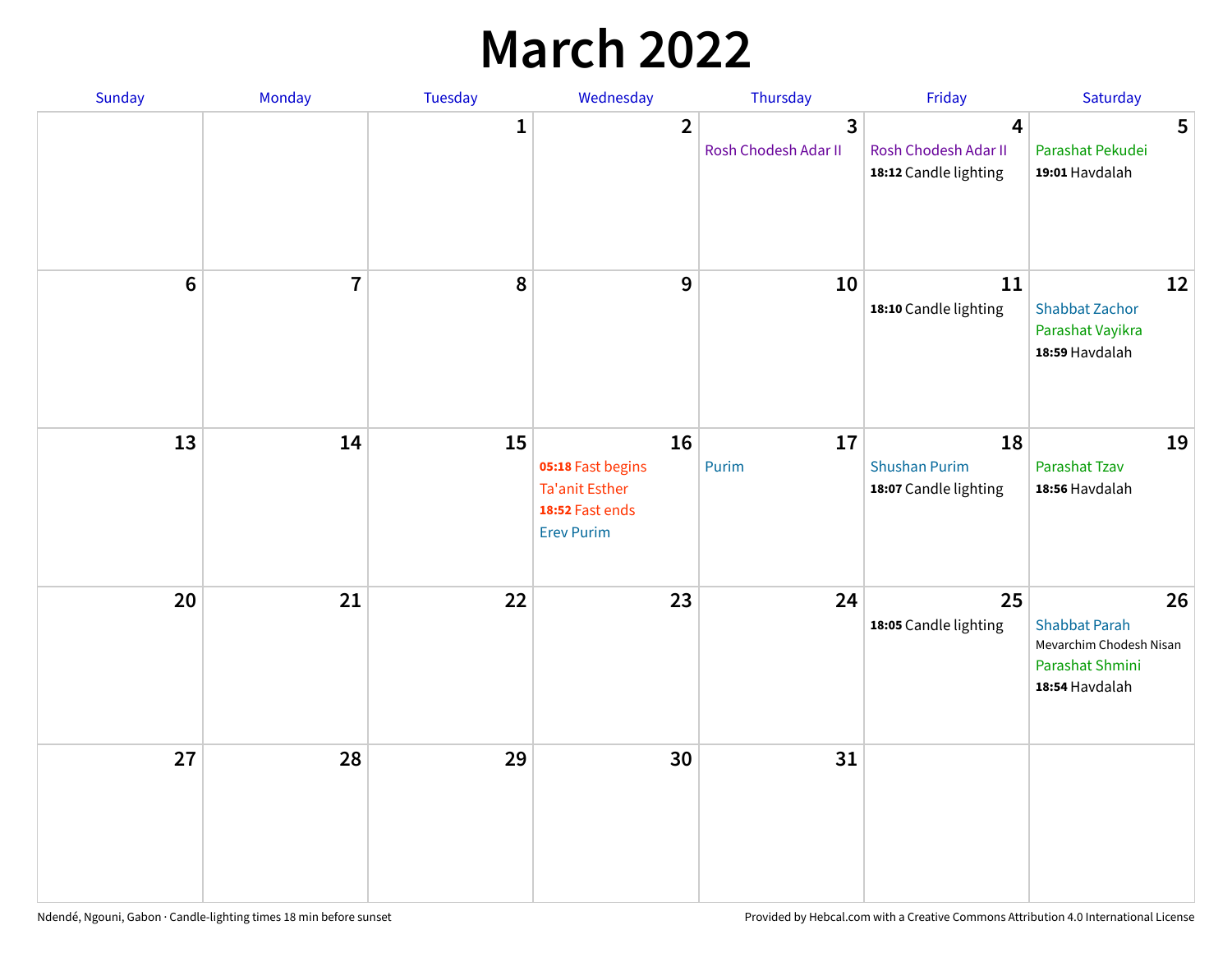## **March 2022**

| Sunday         | Monday         | <b>Tuesday</b> | Wednesday                                                                                | Thursday                  | Friday                                              | Saturday                                                                                   |
|----------------|----------------|----------------|------------------------------------------------------------------------------------------|---------------------------|-----------------------------------------------------|--------------------------------------------------------------------------------------------|
|                |                | $\mathbf{1}$   | $\overline{2}$                                                                           | 3<br>Rosh Chodesh Adar II | 4<br>Rosh Chodesh Adar II<br>18:12 Candle lighting  | 5<br>Parashat Pekudei<br>19:01 Havdalah                                                    |
| $6\phantom{1}$ | $\overline{7}$ | 8              | $\mathbf 9$                                                                              | 10                        | 11<br>18:10 Candle lighting                         | 12<br><b>Shabbat Zachor</b><br>Parashat Vayikra<br>18:59 Havdalah                          |
| 13             | 14             | 15             | 16<br>05:18 Fast begins<br><b>Ta'anit Esther</b><br>18:52 Fast ends<br><b>Erev Purim</b> | 17<br>Purim               | 18<br><b>Shushan Purim</b><br>18:07 Candle lighting | 19<br>Parashat Tzav<br>18:56 Havdalah                                                      |
| 20             | 21             | 22             | 23                                                                                       | 24                        | 25<br>18:05 Candle lighting                         | 26<br><b>Shabbat Parah</b><br>Mevarchim Chodesh Nisan<br>Parashat Shmini<br>18:54 Havdalah |
| 27             | 28             | 29             | 30                                                                                       | 31                        |                                                     |                                                                                            |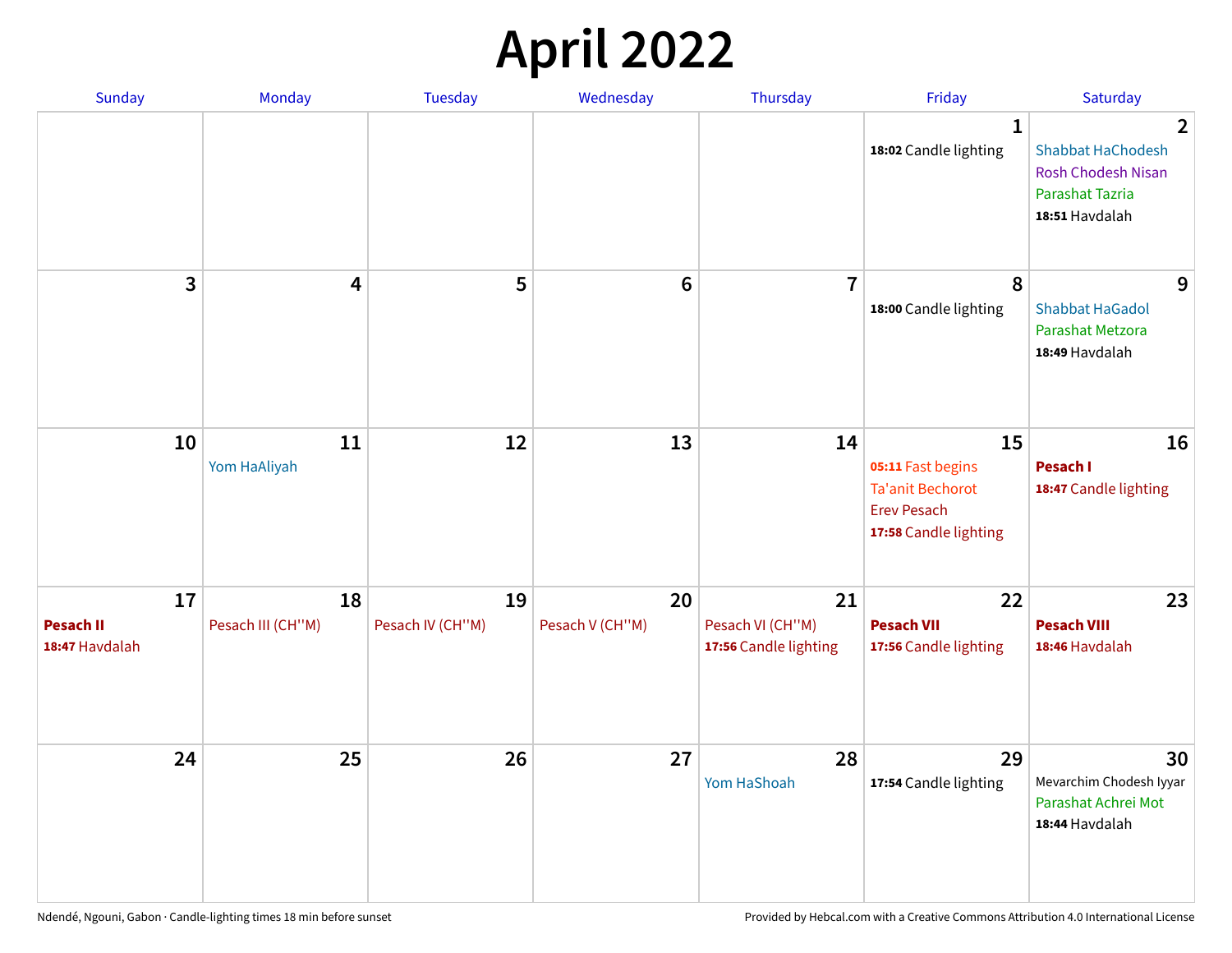## **April 2022**

| <b>Sunday</b>                            | Monday                  | <b>Tuesday</b>         | Wednesday             | Thursday                                        | Friday                                                                                            | Saturday                                                                                                     |
|------------------------------------------|-------------------------|------------------------|-----------------------|-------------------------------------------------|---------------------------------------------------------------------------------------------------|--------------------------------------------------------------------------------------------------------------|
|                                          |                         |                        |                       |                                                 | 1<br>18:02 Candle lighting                                                                        | $\overline{2}$<br><b>Shabbat HaChodesh</b><br><b>Rosh Chodesh Nisan</b><br>Parashat Tazria<br>18:51 Havdalah |
| 3                                        | 4                       | 5                      | $6\phantom{1}$        | $\overline{7}$                                  | 8<br>18:00 Candle lighting                                                                        | 9<br><b>Shabbat HaGadol</b><br>Parashat Metzora<br>18:49 Havdalah                                            |
| 10                                       | 11<br>Yom HaAliyah      | 12                     | 13                    | 14                                              | 15<br>05:11 Fast begins<br><b>Ta'anit Bechorot</b><br><b>Erev Pesach</b><br>17:58 Candle lighting | 16<br>Pesach I<br>18:47 Candle lighting                                                                      |
| 17<br><b>Pesach II</b><br>18:47 Havdalah | 18<br>Pesach III (CH"M) | 19<br>Pesach IV (CH"M) | 20<br>Pesach V (CH"M) | 21<br>Pesach VI (CH"M)<br>17:56 Candle lighting | 22<br><b>Pesach VII</b><br>17:56 Candle lighting                                                  | 23<br><b>Pesach VIII</b><br>18:46 Havdalah                                                                   |
| 24                                       | 25                      | 26                     | 27                    | 28<br>Yom HaShoah                               | 29<br>17:54 Candle lighting                                                                       | 30<br>Mevarchim Chodesh Iyyar<br>Parashat Achrei Mot<br>18:44 Havdalah                                       |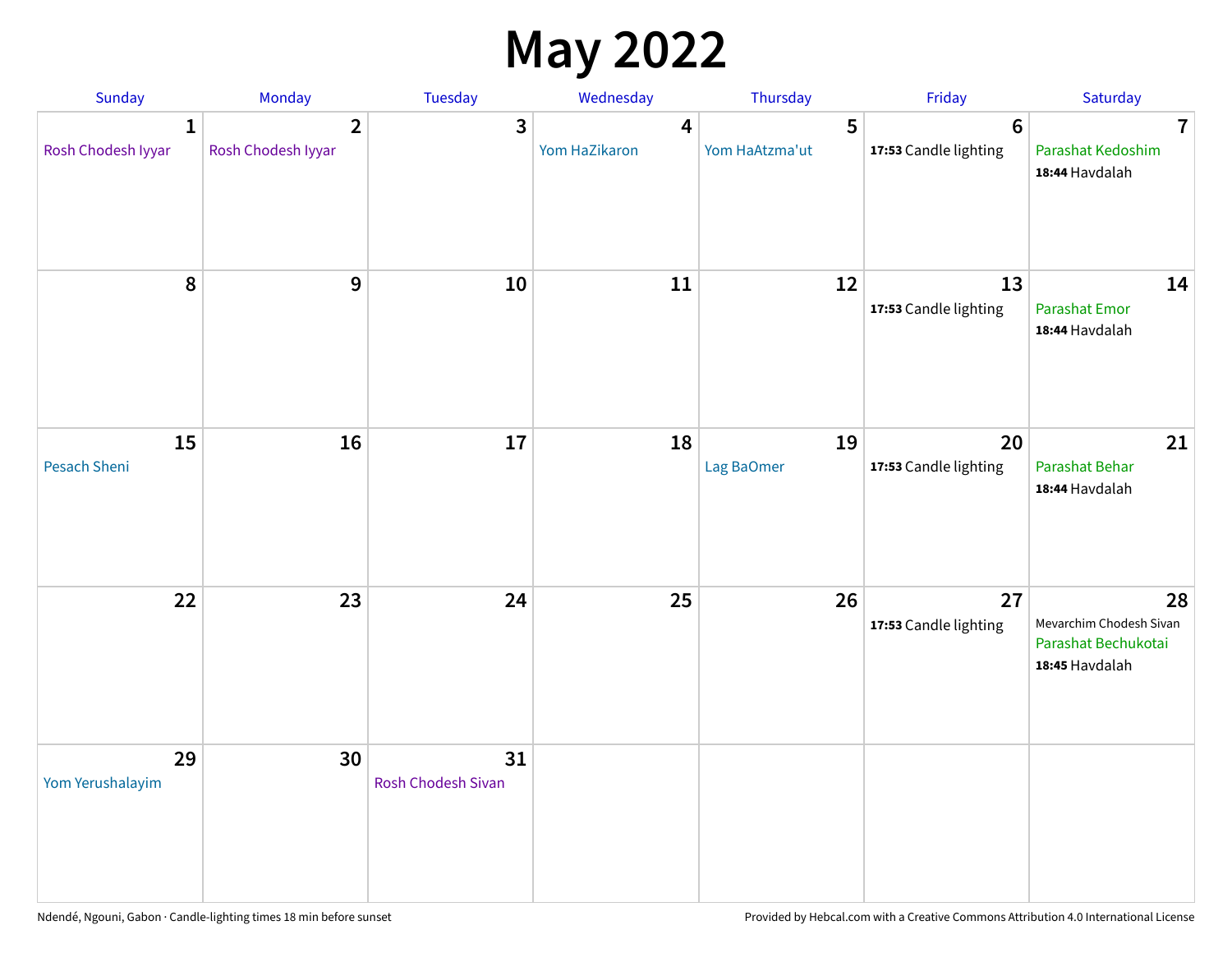## **May 2022**

| Sunday                             | Monday                               | Tuesday                         | Wednesday          | Thursday            | Friday                                   | Saturday                                                               |
|------------------------------------|--------------------------------------|---------------------------------|--------------------|---------------------|------------------------------------------|------------------------------------------------------------------------|
| $\mathbf{1}$<br>Rosh Chodesh Iyyar | $\overline{2}$<br>Rosh Chodesh Iyyar | 3                               | 4<br>Yom HaZikaron | 5<br>Yom HaAtzma'ut | $6\phantom{1}6$<br>17:53 Candle lighting | $\overline{7}$<br>Parashat Kedoshim<br>18:44 Havdalah                  |
| $\pmb{8}$                          | $\mathbf{9}$                         | 10                              | 11                 | 12                  | 13<br>17:53 Candle lighting              | 14<br><b>Parashat Emor</b><br>18:44 Havdalah                           |
| 15<br>Pesach Sheni                 | 16                                   | 17                              | 18                 | 19<br>Lag BaOmer    | 20<br>17:53 Candle lighting              | 21<br>Parashat Behar<br>18:44 Havdalah                                 |
| 22                                 | 23                                   | 24                              | 25                 | 26                  | 27<br>17:53 Candle lighting              | 28<br>Mevarchim Chodesh Sivan<br>Parashat Bechukotai<br>18:45 Havdalah |
| 29<br>Yom Yerushalayim             | 30                                   | 31<br><b>Rosh Chodesh Sivan</b> |                    |                     |                                          |                                                                        |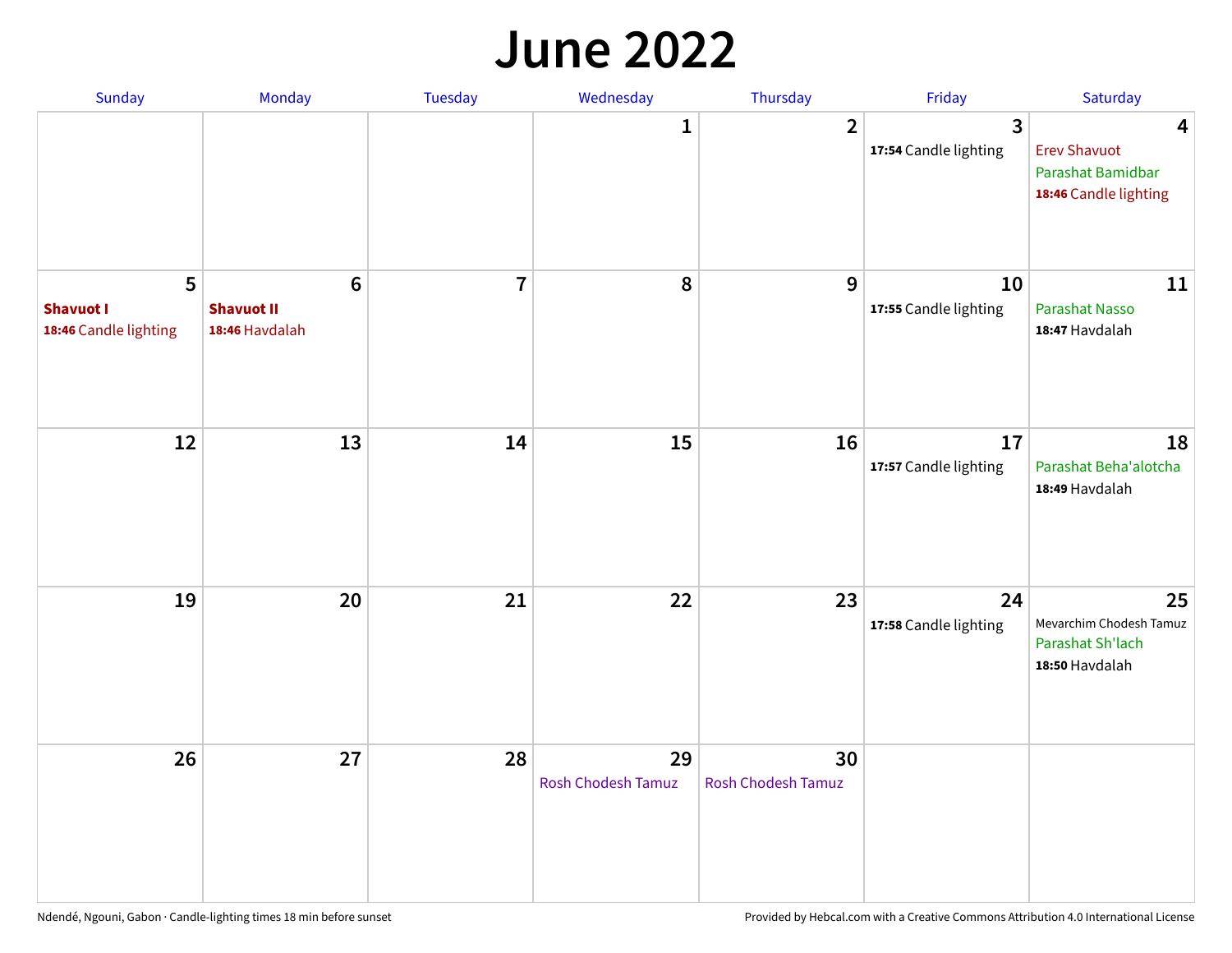#### **June 2022**

| Sunday                                         | Monday                                         | Tuesday        | Wednesday                       | Thursday                 | Friday                      | Saturday                                                                                     |
|------------------------------------------------|------------------------------------------------|----------------|---------------------------------|--------------------------|-----------------------------|----------------------------------------------------------------------------------------------|
|                                                |                                                |                | 1                               | $\overline{2}$           | 3<br>17:54 Candle lighting  | $\overline{\mathbf{4}}$<br><b>Erev Shavuot</b><br>Parashat Bamidbar<br>18:46 Candle lighting |
| 5<br><b>Shavuot I</b><br>18:46 Candle lighting | $\bf 6$<br><b>Shavuot II</b><br>18:46 Havdalah | $\overline{7}$ | 8                               | 9                        | 10<br>17:55 Candle lighting | 11<br><b>Parashat Nasso</b><br>18:47 Havdalah                                                |
| 12                                             | 13                                             | 14             | 15                              | 16                       | 17<br>17:57 Candle lighting | 18<br>Parashat Beha'alotcha<br>18:49 Havdalah                                                |
| 19                                             | 20                                             | 21             | 22                              | 23                       | 24<br>17:58 Candle lighting | 25<br>Mevarchim Chodesh Tamuz<br>Parashat Sh'lach<br>18:50 Havdalah                          |
| 26                                             | 27                                             | 28             | 29<br><b>Rosh Chodesh Tamuz</b> | 30<br>Rosh Chodesh Tamuz |                             |                                                                                              |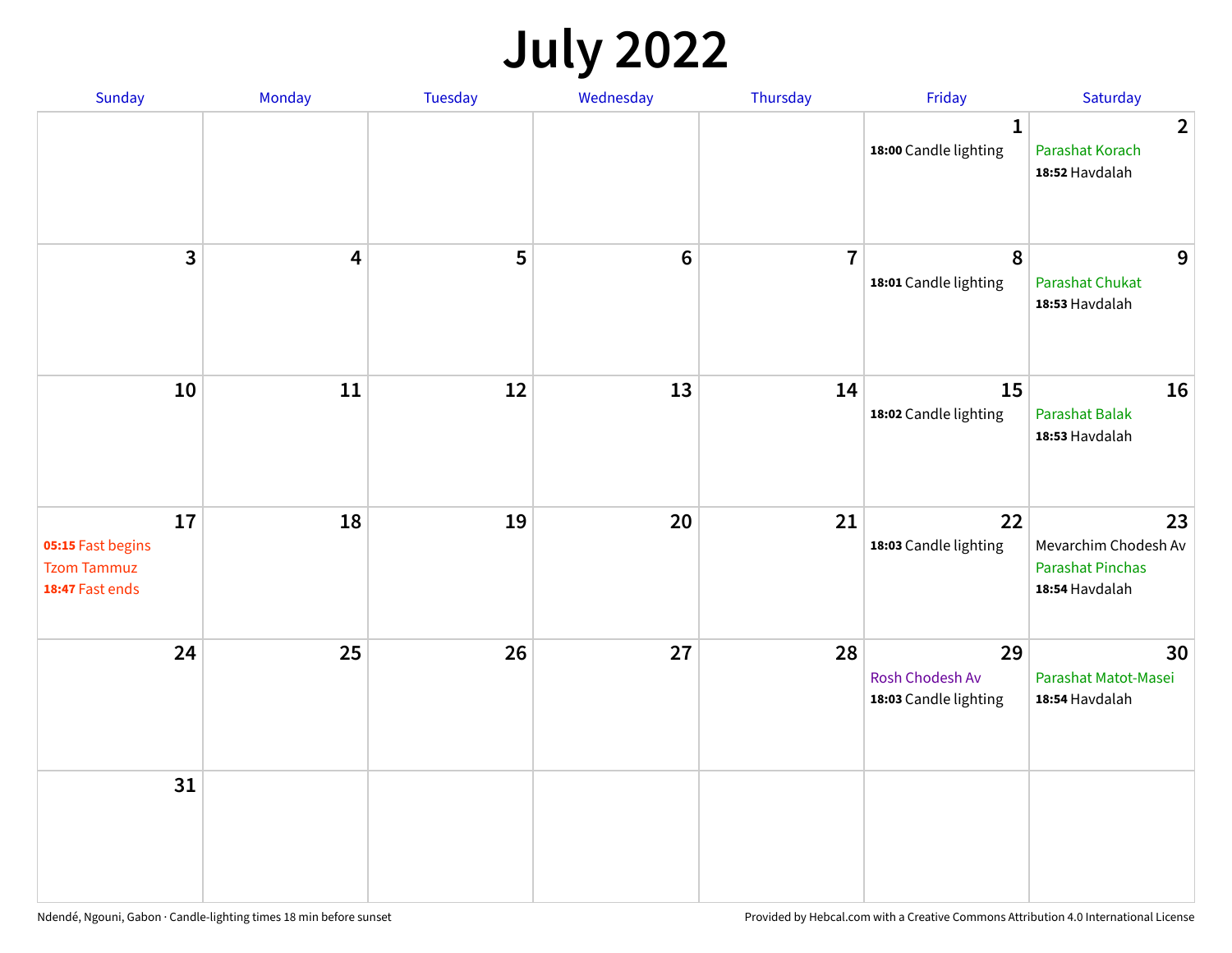## **July 2022**

| Sunday                                                           | Monday                  | Tuesday | Wednesday | Thursday       | Friday                                         | Saturday                                                                |
|------------------------------------------------------------------|-------------------------|---------|-----------|----------------|------------------------------------------------|-------------------------------------------------------------------------|
|                                                                  |                         |         |           |                | $\mathbf{1}$<br>18:00 Candle lighting          | $\overline{2}$<br>Parashat Korach<br>18:52 Havdalah                     |
| $\mathbf{3}$                                                     | $\overline{\mathbf{4}}$ | 5       | $\bf 6$   | $\overline{7}$ | 8<br>18:01 Candle lighting                     | 9<br>Parashat Chukat<br>18:53 Havdalah                                  |
| 10                                                               | 11                      | 12      | 13        | 14             | 15<br>18:02 Candle lighting                    | 16<br>Parashat Balak<br>18:53 Havdalah                                  |
| 17<br>05:15 Fast begins<br><b>Tzom Tammuz</b><br>18:47 Fast ends | 18                      | 19      | 20        | 21             | 22<br>18:03 Candle lighting                    | 23<br>Mevarchim Chodesh Av<br><b>Parashat Pinchas</b><br>18:54 Havdalah |
| 24                                                               | 25                      | 26      | 27        | 28             | 29<br>Rosh Chodesh Av<br>18:03 Candle lighting | 30<br>Parashat Matot-Masei<br>18:54 Havdalah                            |
| 31                                                               |                         |         |           |                |                                                |                                                                         |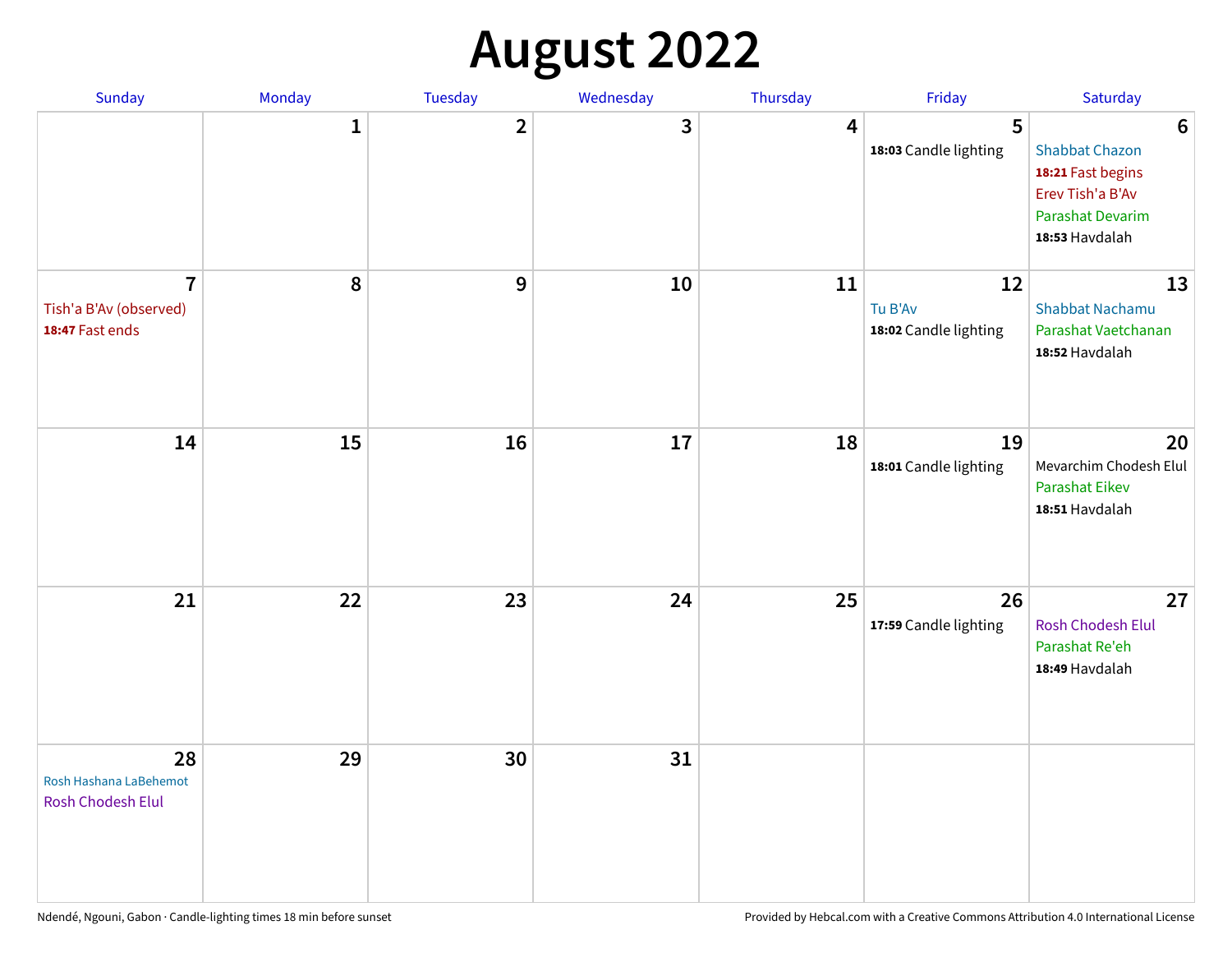## **August 2022**

| Sunday                                                      | Monday       | Tuesday                 | Wednesday | Thursday | Friday                                 | Saturday                                                                                                                       |
|-------------------------------------------------------------|--------------|-------------------------|-----------|----------|----------------------------------------|--------------------------------------------------------------------------------------------------------------------------------|
|                                                             | $\mathbf{1}$ | $\overline{\mathbf{2}}$ | 3         | 4        | 5<br>18:03 Candle lighting             | $6\phantom{1}6$<br><b>Shabbat Chazon</b><br>18:21 Fast begins<br>Erev Tish'a B'Av<br><b>Parashat Devarim</b><br>18:53 Havdalah |
| $\overline{7}$<br>Tish'a B'Av (observed)<br>18:47 Fast ends | 8            | 9                       | 10        | 11       | 12<br>Tu B'Av<br>18:02 Candle lighting | 13<br><b>Shabbat Nachamu</b><br>Parashat Vaetchanan<br>18:52 Havdalah                                                          |
| 14                                                          | 15           | 16                      | 17        | 18       | 19<br>18:01 Candle lighting            | 20<br>Mevarchim Chodesh Elul<br><b>Parashat Eikev</b><br>18:51 Havdalah                                                        |
| 21                                                          | 22           | 23                      | 24        | 25       | 26<br>17:59 Candle lighting            | 27<br><b>Rosh Chodesh Elul</b><br>Parashat Re'eh<br>18:49 Havdalah                                                             |
| 28<br>Rosh Hashana LaBehemot<br><b>Rosh Chodesh Elul</b>    | 29           | 30                      | 31        |          |                                        |                                                                                                                                |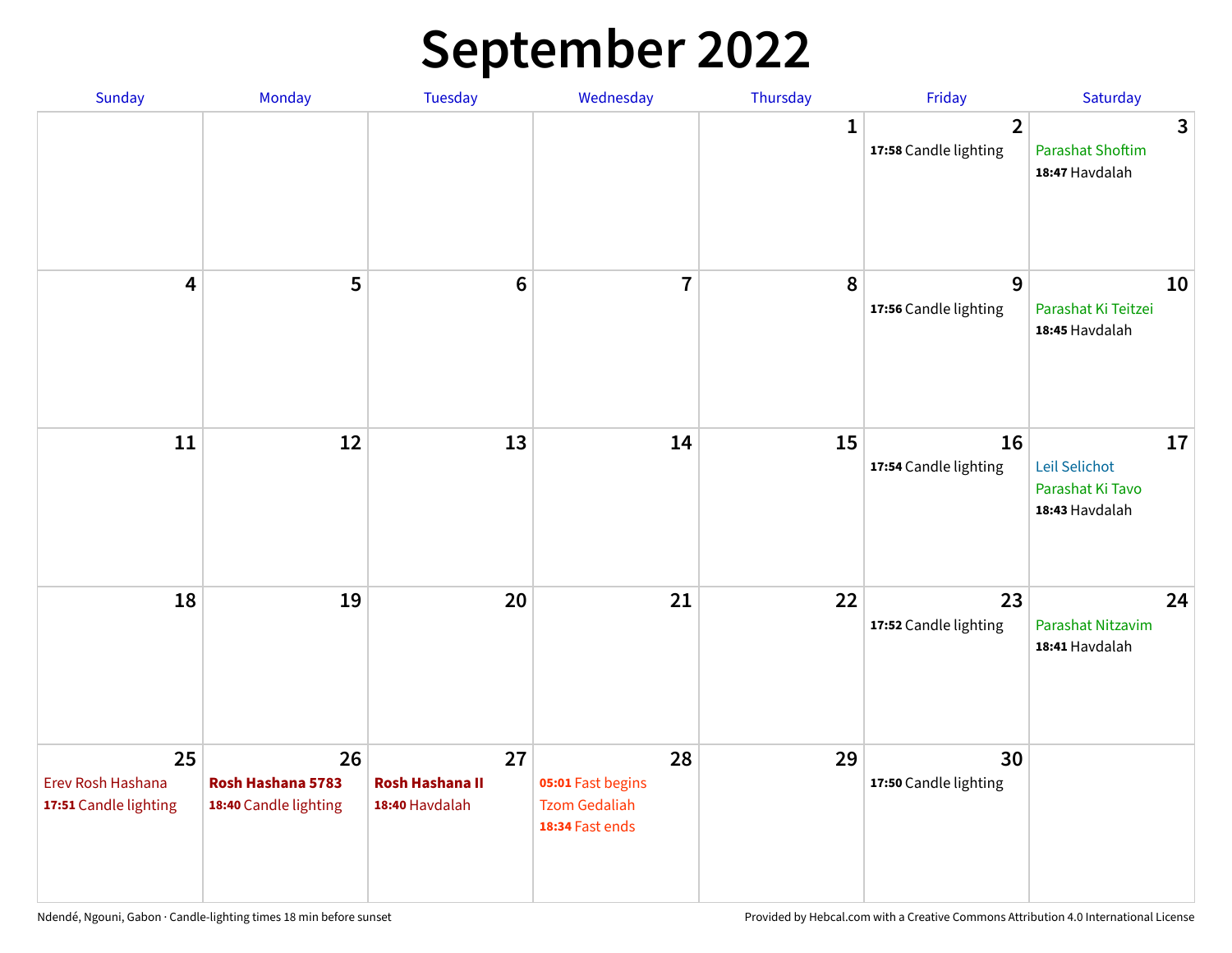## **September 2022**

| Sunday                                           | Monday                                           | Tuesday                                        | Wednesday                                                          | Thursday     | Friday                                  | Saturday                                                  |
|--------------------------------------------------|--------------------------------------------------|------------------------------------------------|--------------------------------------------------------------------|--------------|-----------------------------------------|-----------------------------------------------------------|
|                                                  |                                                  |                                                |                                                                    | $\mathbf{1}$ | $\overline{2}$<br>17:58 Candle lighting | 3<br><b>Parashat Shoftim</b><br>18:47 Havdalah            |
| $\overline{\mathbf{4}}$                          | 5                                                | $6\phantom{1}6$                                | $\overline{7}$                                                     | 8            | 9<br>17:56 Candle lighting              | 10<br>Parashat Ki Teitzei<br>18:45 Havdalah               |
| 11                                               | 12                                               | 13                                             | 14                                                                 | 15           | 16<br>17:54 Candle lighting             | 17<br>Leil Selichot<br>Parashat Ki Tavo<br>18:43 Havdalah |
| 18                                               | 19                                               | 20                                             | 21                                                                 | 22           | 23<br>17:52 Candle lighting             | 24<br>Parashat Nitzavim<br>18:41 Havdalah                 |
| 25<br>Erev Rosh Hashana<br>17:51 Candle lighting | 26<br>Rosh Hashana 5783<br>18:40 Candle lighting | 27<br><b>Rosh Hashana II</b><br>18:40 Havdalah | 28<br>05:01 Fast begins<br><b>Tzom Gedaliah</b><br>18:34 Fast ends | 29           | 30<br>17:50 Candle lighting             |                                                           |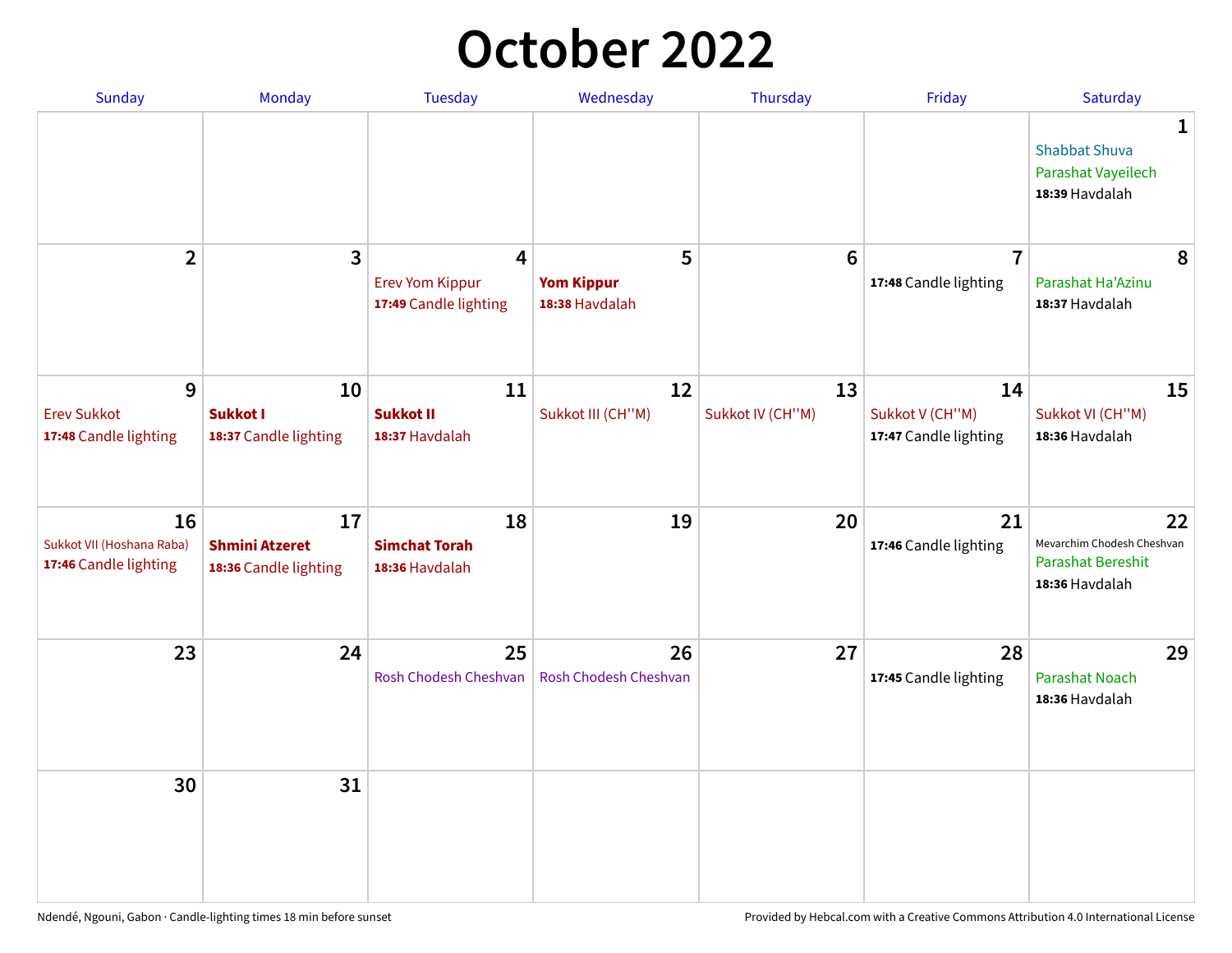## **October 2022**

| <b>Sunday</b>                                            | Monday                                               | <b>Tuesday</b>                                       | Wednesday                                | Thursday               | Friday                                         | Saturday                                                                |
|----------------------------------------------------------|------------------------------------------------------|------------------------------------------------------|------------------------------------------|------------------------|------------------------------------------------|-------------------------------------------------------------------------|
|                                                          |                                                      |                                                      |                                          |                        |                                                | 1<br><b>Shabbat Shuva</b><br>Parashat Vayeilech<br>18:39 Havdalah       |
| $\mathbf{2}$                                             | 3                                                    | 4<br><b>Erev Yom Kippur</b><br>17:49 Candle lighting | 5<br><b>Yom Kippur</b><br>18:38 Havdalah | $6\phantom{1}6$        | $\overline{7}$<br>17:48 Candle lighting        | 8<br>Parashat Ha'Azinu<br>18:37 Havdalah                                |
| 9<br><b>Erev Sukkot</b><br>17:48 Candle lighting         | 10<br>Sukkot I<br>18:37 Candle lighting              | 11<br><b>Sukkot II</b><br>18:37 Havdalah             | 12<br>Sukkot III (CH"M)                  | 13<br>Sukkot IV (CH"M) | 14<br>Sukkot V (CH"M)<br>17:47 Candle lighting | 15<br>Sukkot VI (CH"M)<br>18:36 Havdalah                                |
| 16<br>Sukkot VII (Hoshana Raba)<br>17:46 Candle lighting | 17<br><b>Shmini Atzeret</b><br>18:36 Candle lighting | 18<br><b>Simchat Torah</b><br>18:36 Havdalah         | 19                                       | 20                     | 21<br>17:46 Candle lighting                    | 22<br>Mevarchim Chodesh Cheshvan<br>Parashat Bereshit<br>18:36 Havdalah |
| 23                                                       | 24                                                   | 25<br>Rosh Chodesh Cheshvan                          | 26<br><b>Rosh Chodesh Cheshvan</b>       | 27                     | 28<br>17:45 Candle lighting                    | 29<br><b>Parashat Noach</b><br>18:36 Havdalah                           |
| 30                                                       | 31                                                   |                                                      |                                          |                        |                                                |                                                                         |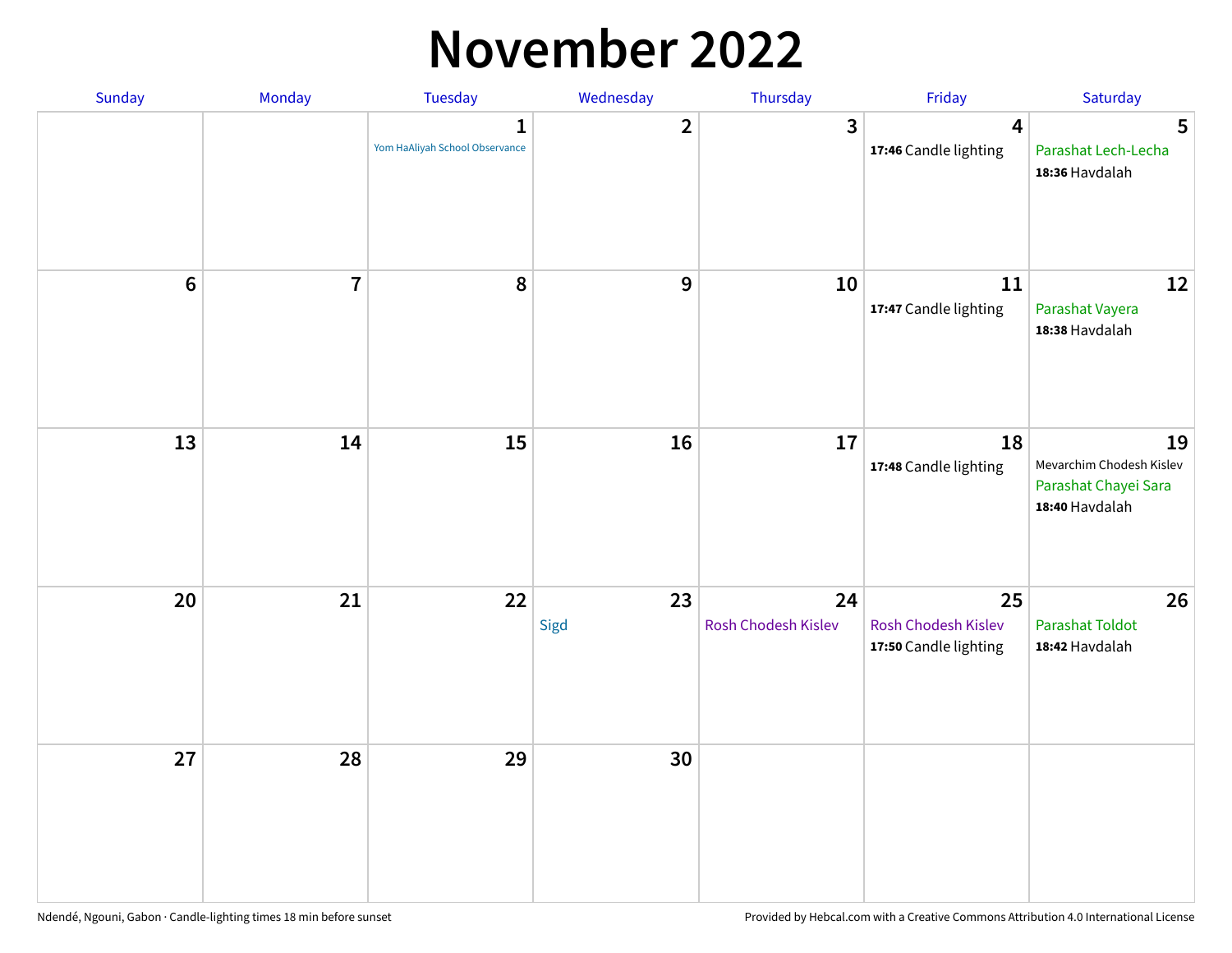#### **November 2022**

| Sunday         | Monday         | <b>Tuesday</b>                                 | Wednesday        | Thursday                  | Friday                                             | Saturday                                                                 |
|----------------|----------------|------------------------------------------------|------------------|---------------------------|----------------------------------------------------|--------------------------------------------------------------------------|
|                |                | $\mathbf{1}$<br>Yom HaAliyah School Observance | $\mathbf{2}$     | $\mathbf{3}$              | $\overline{\mathbf{4}}$<br>17:46 Candle lighting   | 5<br>Parashat Lech-Lecha<br>18:36 Havdalah                               |
| $6\phantom{a}$ | $\overline{7}$ | 8                                              | $\boldsymbol{9}$ | 10                        | 11<br>17:47 Candle lighting                        | 12<br>Parashat Vayera<br>18:38 Havdalah                                  |
| 13             | 14             | 15                                             | 16               | 17                        | 18<br>17:48 Candle lighting                        | 19<br>Mevarchim Chodesh Kislev<br>Parashat Chayei Sara<br>18:40 Havdalah |
| 20             | 21             | 22                                             | 23<br>Sigd       | 24<br>Rosh Chodesh Kislev | 25<br>Rosh Chodesh Kislev<br>17:50 Candle lighting | 26<br><b>Parashat Toldot</b><br>18:42 Havdalah                           |
| 27             | 28             | 29                                             | 30               |                           |                                                    |                                                                          |